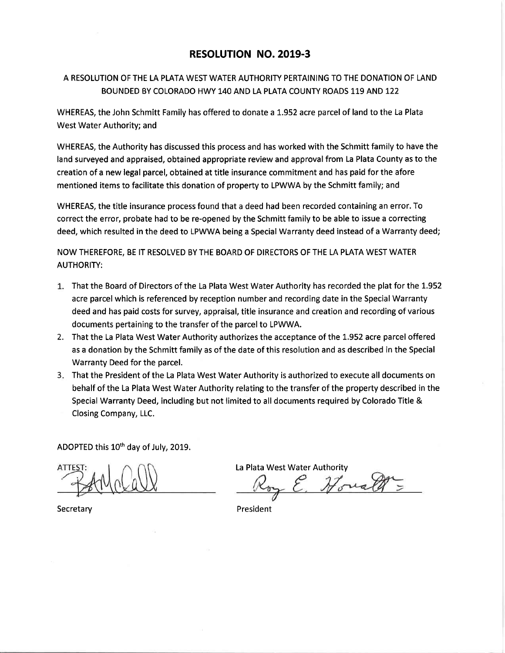## RESOLUTION NO. 2019-3

## A RESOLUTION OF THE LA PLATA WEST WATER AUTHORITY PERTAINING TO THE DONATION OF LAND BOUNDED BY COLORADO HWY 140 AND LA PLATA COUNTY ROADS 119 AND 122

WHEREAS, the John Schmitt Family has offered to donate a 1.952 acre parcel of land to the La Plata West Water Authority; and

WHEREAS, the Authority has discussed this process and has worked with the Schmitt family to have the land surveyed and appraised, obtained appropriate review and approval from La Plata County as to the creation of a new legal parcel, obtained at title insurance commitment and has paid for the afore mentioned items to facilitate this donation of property to LPWWA by the Schmitt family; and

WHEREAS, the title insurance process found that a deed had been recorded containing an error. To correct the error, probate had to be re-opened by the Schmitt family to be able to issue a correcting deed, which resulted in the deed to LPWWA being a Special Warranty deed instead of a Warranty deed;

NOW THEREFORE, BE IT RESOLVED BY THE BOARD OF DIRECTORS OF THE LA PLATA WEST WATER AUTHORITY:

- That the Board of Directors of the La Plata West Water Authority has recorded the plat for the 1.952 acre parcel which is referenced by reception number and recording date in the Special Warranty deed and has paid costs for survey, appraisal, title insurance and creation and recording of various documents pertaining to the transfer of the parcel to LPWWA.
- 2. That the La Plata West Water Authority authorizes the acceptance of the 1.952 acre parcel offered as a donation by the Schmitt family as of the date of this resolution and as described in the Special Warranty Deed for the parcel.
- That the President of the La Plata West Water Authority is authorized to execute all documents on 3 behalf of the La Plata West Water Authority relating to the transfer of the property described in the Special Warranty Deed, including but not limited to all documents required by Colorado Title & Closing Company, LLC.

ADOPTED this 10<sup>th</sup> day of July, 2019.

**Secretary** 

La Plata West Water Authority<br>Roy E. House and

President